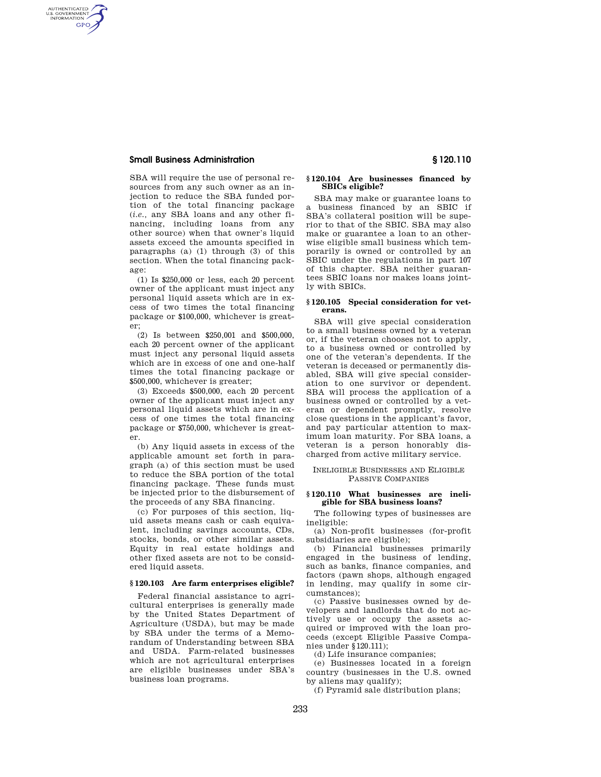# **Small Business Administration § 120.110**

AUTHENTICATED<br>U.S. GOVERNMENT<br>INFORMATION GPO

> SBA will require the use of personal resources from any such owner as an injection to reduce the SBA funded portion of the total financing package (*i.e.,* any SBA loans and any other financing, including loans from any other source) when that owner's liquid assets exceed the amounts specified in paragraphs (a) (1) through (3) of this section. When the total financing package:

> (1) Is \$250,000 or less, each 20 percent owner of the applicant must inject any personal liquid assets which are in excess of two times the total financing package or \$100,000, whichever is greater;

> (2) Is between \$250,001 and \$500,000, each 20 percent owner of the applicant must inject any personal liquid assets which are in excess of one and one-half times the total financing package or \$500,000, whichever is greater;

> (3) Exceeds \$500,000, each 20 percent owner of the applicant must inject any personal liquid assets which are in excess of one times the total financing package or \$750,000, whichever is greater.

> (b) Any liquid assets in excess of the applicable amount set forth in paragraph (a) of this section must be used to reduce the SBA portion of the total financing package. These funds must be injected prior to the disbursement of the proceeds of any SBA financing.

> (c) For purposes of this section, liquid assets means cash or cash equivalent, including savings accounts, CDs, stocks, bonds, or other similar assets. Equity in real estate holdings and other fixed assets are not to be considered liquid assets.

### **§ 120.103 Are farm enterprises eligible?**

Federal financial assistance to agricultural enterprises is generally made by the United States Department of Agriculture (USDA), but may be made by SBA under the terms of a Memorandum of Understanding between SBA and USDA. Farm-related businesses which are not agricultural enterprises are eligible businesses under SBA's business loan programs.

# **§ 120.104 Are businesses financed by SBICs eligible?**

SBA may make or guarantee loans to a business financed by an SBIC if SBA's collateral position will be superior to that of the SBIC. SBA may also make or guarantee a loan to an otherwise eligible small business which temporarily is owned or controlled by an SBIC under the regulations in part 107 of this chapter. SBA neither guarantees SBIC loans nor makes loans jointly with SBICs.

# **§ 120.105 Special consideration for veterans.**

SBA will give special consideration to a small business owned by a veteran or, if the veteran chooses not to apply, to a business owned or controlled by one of the veteran's dependents. If the veteran is deceased or permanently disabled, SBA will give special consideration to one survivor or dependent. SBA will process the application of a business owned or controlled by a veteran or dependent promptly, resolve close questions in the applicant's favor, and pay particular attention to maximum loan maturity. For SBA loans, a veteran is a person honorably discharged from active military service.

# INELIGIBLE BUSINESSES AND ELIGIBLE PASSIVE COMPANIES

### **§ 120.110 What businesses are ineligible for SBA business loans?**

The following types of businesses are ineligible:

(a) Non-profit businesses (for-profit subsidiaries are eligible);

(b) Financial businesses primarily engaged in the business of lending, such as banks, finance companies, and factors (pawn shops, although engaged in lending, may qualify in some circumstances);

(c) Passive businesses owned by developers and landlords that do not actively use or occupy the assets acquired or improved with the loan proceeds (except Eligible Passive Companies under §120.111);

(d) Life insurance companies;

(e) Businesses located in a foreign country (businesses in the U.S. owned by aliens may qualify);

(f) Pyramid sale distribution plans;